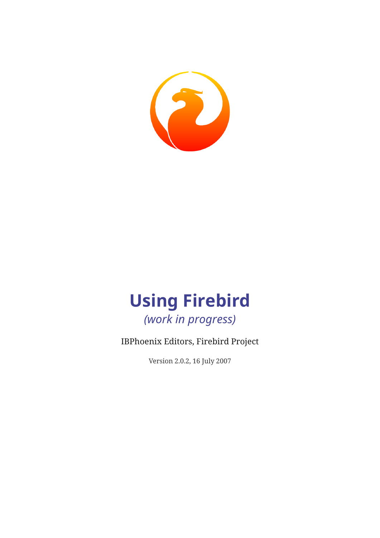

# **Using Firebird** *(work in progress)*

## IBPhoenix Editors, Firebird Project

Version 2.0.2, 16 July 2007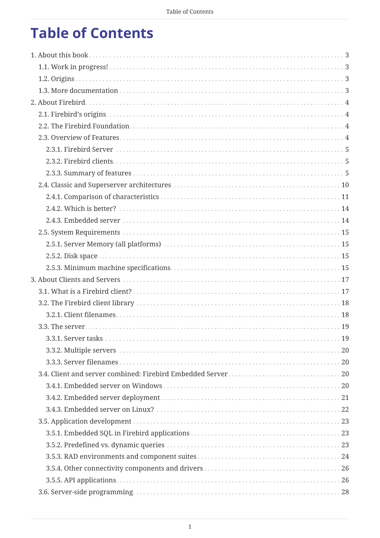# **Table of Contents**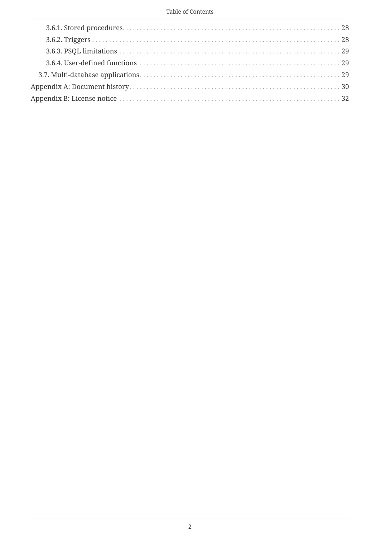#### Table of Contents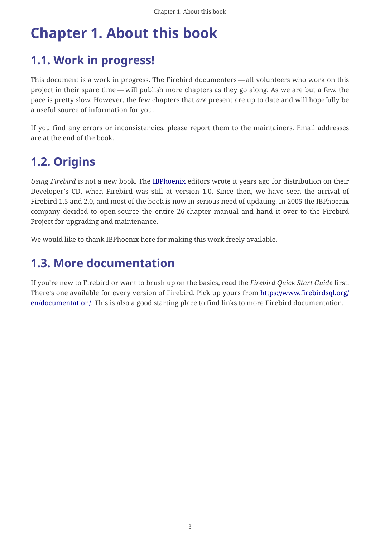# <span id="page-3-0"></span>**Chapter 1. About this book**

## <span id="page-3-1"></span>**1.1. Work in progress!**

This document is a work in progress. The Firebird documenters — all volunteers who work on this project in their spare time — will publish more chapters as they go along. As we are but a few, the pace is pretty slow. However, the few chapters that *are* present are up to date and will hopefully be a useful source of information for you.

If you find any errors or inconsistencies, please report them to the maintainers. Email addresses are at the end of the book.

## <span id="page-3-2"></span>**1.2. Origins**

*Using Firebird* is not a new book. The [IBPhoenix](https://www.ibphoenix.com) editors wrote it years ago for distribution on their Developer's CD, when Firebird was still at version 1.0. Since then, we have seen the arrival of Firebird 1.5 and 2.0, and most of the book is now in serious need of updating. In 2005 the IBPhoenix company decided to open-source the entire 26-chapter manual and hand it over to the Firebird Project for upgrading and maintenance.

We would like to thank IBPhoenix here for making this work freely available.

## <span id="page-3-3"></span>**1.3. More documentation**

If you're new to Firebird or want to brush up on the basics, read the *Firebird Quick Start Guide* first. There's one available for every version of Firebird. Pick up yours from [https://www.firebirdsql.org/](https://www.firebirdsql.org/en/documentation/) [en/documentation/.](https://www.firebirdsql.org/en/documentation/) This is also a good starting place to find links to more Firebird documentation.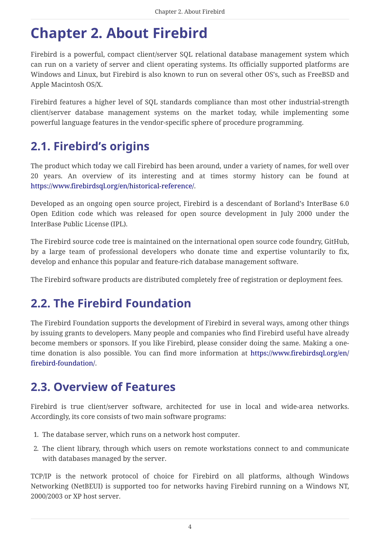# <span id="page-4-0"></span>**Chapter 2. About Firebird**

Firebird is a powerful, compact client/server SQL relational database management system which can run on a variety of server and client operating systems. Its officially supported platforms are Windows and Linux, but Firebird is also known to run on several other OS's, such as FreeBSD and Apple Macintosh OS/X.

Firebird features a higher level of SQL standards compliance than most other industrial-strength client/server database management systems on the market today, while implementing some powerful language features in the vendor-specific sphere of procedure programming.

## <span id="page-4-1"></span>**2.1. Firebird's origins**

The product which today we call Firebird has been around, under a variety of names, for well over 20 years. An overview of its interesting and at times stormy history can be found at <https://www.firebirdsql.org/en/historical-reference/>.

Developed as an ongoing open source project, Firebird is a descendant of Borland's InterBase 6.0 Open Edition code which was released for open source development in July 2000 under the InterBase Public License (IPL).

The Firebird source code tree is maintained on the international open source code foundry, GitHub, by a large team of professional developers who donate time and expertise voluntarily to fix, develop and enhance this popular and feature-rich database management software.

The Firebird software products are distributed completely free of registration or deployment fees.

## <span id="page-4-2"></span>**2.2. The Firebird Foundation**

The Firebird Foundation supports the development of Firebird in several ways, among other things by issuing grants to developers. Many people and companies who find Firebird useful have already become members or sponsors. If you like Firebird, please consider doing the same. Making a onetime donation is also possible. You can find more information at [https://www.firebirdsql.org/en/](https://www.firebirdsql.org/en/firebird-foundation/) [firebird-foundation/](https://www.firebirdsql.org/en/firebird-foundation/).

## <span id="page-4-3"></span>**2.3. Overview of Features**

Firebird is true client/server software, architected for use in local and wide-area networks. Accordingly, its core consists of two main software programs:

- 1. The database server, which runs on a network host computer.
- 2. The client library, through which users on remote workstations connect to and communicate with databases managed by the server.

TCP/IP is the network protocol of choice for Firebird on all platforms, although Windows Networking (NetBEUI) is supported too for networks having Firebird running on a Windows NT, 2000/2003 or XP host server.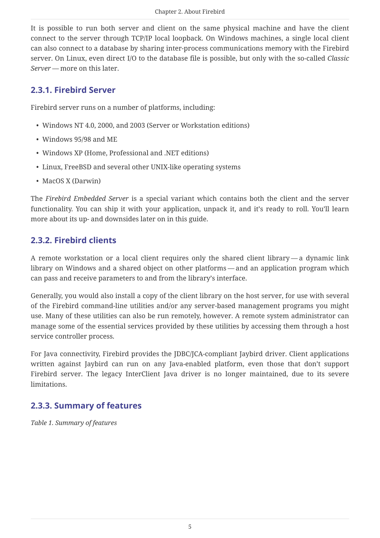It is possible to run both server and client on the same physical machine and have the client connect to the server through TCP/IP local loopback. On Windows machines, a single local client can also connect to a database by sharing inter-process communications memory with the Firebird server. On Linux, even direct I/O to the database file is possible, but only with the so-called *Classic Server* — more on this later.

## <span id="page-5-0"></span>**2.3.1. Firebird Server**

Firebird server runs on a number of platforms, including:

- Windows NT 4.0, 2000, and 2003 (Server or Workstation editions)
- Windows 95/98 and ME
- Windows XP (Home, Professional and .NET editions)
- Linux, FreeBSD and several other UNIX-like operating systems
- MacOS X (Darwin)

The *Firebird Embedded Server* is a special variant which contains both the client and the server functionality. You can ship it with your application, unpack it, and it's ready to roll. You'll learn more about its up- and downsides later on in this guide.

## <span id="page-5-1"></span>**2.3.2. Firebird clients**

A remote workstation or a local client requires only the shared client library — a dynamic link library on Windows and a shared object on other platforms — and an application program which can pass and receive parameters to and from the library's interface.

Generally, you would also install a copy of the client library on the host server, for use with several of the Firebird command-line utilities and/or any server-based management programs you might use. Many of these utilities can also be run remotely, however. A remote system administrator can manage some of the essential services provided by these utilities by accessing them through a host service controller process.

For Java connectivity, Firebird provides the JDBC/JCA-compliant Jaybird driver. Client applications written against Jaybird can run on any Java-enabled platform, even those that don't support Firebird server. The legacy InterClient Java driver is no longer maintained, due to its severe limitations.

## <span id="page-5-2"></span>**2.3.3. Summary of features**

*Table 1. Summary of features*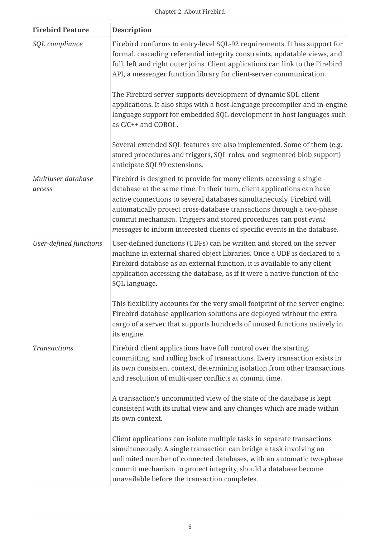| <b>Firebird Feature</b>       | <b>Description</b>                                                                                                                                                                                                                                                                                                                                                                                                                              |  |
|-------------------------------|-------------------------------------------------------------------------------------------------------------------------------------------------------------------------------------------------------------------------------------------------------------------------------------------------------------------------------------------------------------------------------------------------------------------------------------------------|--|
| SQL compliance                | Firebird conforms to entry-level SQL-92 requirements. It has support for<br>formal, cascading referential integrity constraints, updatable views, and<br>full, left and right outer joins. Client applications can link to the Firebird<br>API, a messenger function library for client-server communication.                                                                                                                                   |  |
|                               | The Firebird server supports development of dynamic SQL client<br>applications. It also ships with a host-language precompiler and in-engine<br>language support for embedded SQL development in host languages such<br>as C/C++ and COBOL.                                                                                                                                                                                                     |  |
|                               | Several extended SQL features are also implemented. Some of them (e.g.<br>stored procedures and triggers, SQL roles, and segmented blob support)<br>anticipate SQL99 extensions.                                                                                                                                                                                                                                                                |  |
| Multiuser database<br>access  | Firebird is designed to provide for many clients accessing a single<br>database at the same time. In their turn, client applications can have<br>active connections to several databases simultaneously. Firebird will<br>automatically protect cross-database transactions through a two-phase<br>commit mechanism. Triggers and stored procedures can post event<br>messages to inform interested clients of specific events in the database. |  |
| <b>User-defined functions</b> | User-defined functions (UDFs) can be written and stored on the server<br>machine in external shared object libraries. Once a UDF is declared to a<br>Firebird database as an external function, it is available to any client<br>application accessing the database, as if it were a native function of the<br>SQL language.                                                                                                                    |  |
|                               | This flexibility accounts for the very small footprint of the server engine:<br>Firebird database application solutions are deployed without the extra<br>cargo of a server that supports hundreds of unused functions natively in<br>its engine.                                                                                                                                                                                               |  |
| <b>Transactions</b>           | Firebird client applications have full control over the starting,<br>committing, and rolling back of transactions. Every transaction exists in<br>its own consistent context, determining isolation from other transactions<br>and resolution of multi-user conflicts at commit time.                                                                                                                                                           |  |
|                               | A transaction's uncommitted view of the state of the database is kept<br>consistent with its initial view and any changes which are made within<br>its own context.                                                                                                                                                                                                                                                                             |  |
|                               | Client applications can isolate multiple tasks in separate transactions<br>simultaneously. A single transaction can bridge a task involving an<br>unlimited number of connected databases, with an automatic two-phase<br>commit mechanism to protect integrity, should a database become<br>unavailable before the transaction completes.                                                                                                      |  |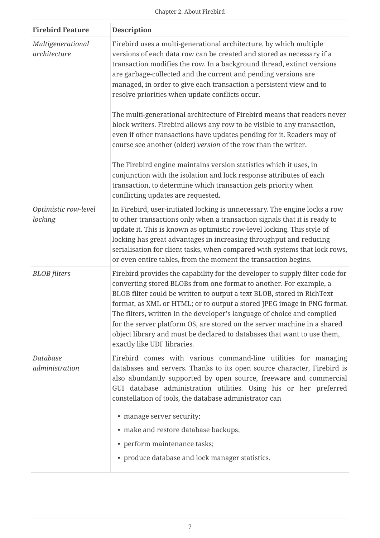| <b>Firebird Feature</b>           | <b>Description</b>                                                                                                                                                                                                                                                                                                                                                                                                                                                                                                                                                                                                                                                                                                                                                                                                                                                                                                                                                         |
|-----------------------------------|----------------------------------------------------------------------------------------------------------------------------------------------------------------------------------------------------------------------------------------------------------------------------------------------------------------------------------------------------------------------------------------------------------------------------------------------------------------------------------------------------------------------------------------------------------------------------------------------------------------------------------------------------------------------------------------------------------------------------------------------------------------------------------------------------------------------------------------------------------------------------------------------------------------------------------------------------------------------------|
| Multigenerational<br>architecture | Firebird uses a multi-generational architecture, by which multiple<br>versions of each data row can be created and stored as necessary if a<br>transaction modifies the row. In a background thread, extinct versions<br>are garbage-collected and the current and pending versions are<br>managed, in order to give each transaction a persistent view and to<br>resolve priorities when update conflicts occur.<br>The multi-generational architecture of Firebird means that readers never<br>block writers. Firebird allows any row to be visible to any transaction,<br>even if other transactions have updates pending for it. Readers may of<br>course see another (older) version of the row than the writer.<br>The Firebird engine maintains version statistics which it uses, in<br>conjunction with the isolation and lock response attributes of each<br>transaction, to determine which transaction gets priority when<br>conflicting updates are requested. |
| Optimistic row-level<br>locking   | In Firebird, user-initiated locking is unnecessary. The engine locks a row<br>to other transactions only when a transaction signals that it is ready to<br>update it. This is known as optimistic row-level locking. This style of<br>locking has great advantages in increasing throughput and reducing<br>serialisation for client tasks, when compared with systems that lock rows,<br>or even entire tables, from the moment the transaction begins.                                                                                                                                                                                                                                                                                                                                                                                                                                                                                                                   |
| <b>BLOB</b> filters               | Firebird provides the capability for the developer to supply filter code for<br>converting stored BLOBs from one format to another. For example, a<br>BLOB filter could be written to output a text BLOB, stored in RichText<br>format, as XML or HTML; or to output a stored JPEG image in PNG format.<br>The filters, written in the developer's language of choice and compiled<br>for the server platform OS, are stored on the server machine in a shared<br>object library and must be declared to databases that want to use them,<br>exactly like UDF libraries.                                                                                                                                                                                                                                                                                                                                                                                                   |
| Database<br>administration        | Firebird comes with various command-line utilities for managing<br>databases and servers. Thanks to its open source character, Firebird is<br>also abundantly supported by open source, freeware and commercial<br>GUI database administration utilities. Using his or her preferred<br>constellation of tools, the database administrator can<br>• manage server security;<br>• make and restore database backups;<br>• perform maintenance tasks;<br>• produce database and lock manager statistics.                                                                                                                                                                                                                                                                                                                                                                                                                                                                     |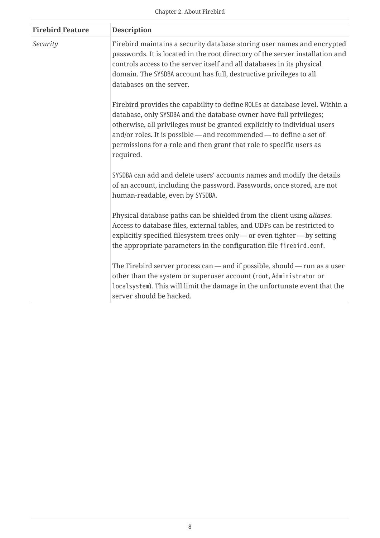| <b>Firebird Feature</b> | <b>Description</b>                                                                                                                                                                                                                                                                                                                                                                         |
|-------------------------|--------------------------------------------------------------------------------------------------------------------------------------------------------------------------------------------------------------------------------------------------------------------------------------------------------------------------------------------------------------------------------------------|
| Security                | Firebird maintains a security database storing user names and encrypted<br>passwords. It is located in the root directory of the server installation and<br>controls access to the server itself and all databases in its physical<br>domain. The SYSDBA account has full, destructive privileges to all<br>databases on the server.                                                       |
|                         | Firebird provides the capability to define ROLEs at database level. Within a<br>database, only SYSDBA and the database owner have full privileges;<br>otherwise, all privileges must be granted explicitly to individual users<br>and/or roles. It is possible - and recommended - to define a set of<br>permissions for a role and then grant that role to specific users as<br>required. |
|                         | SYSDBA can add and delete users' accounts names and modify the details<br>of an account, including the password. Passwords, once stored, are not<br>human-readable, even by SYSDBA.                                                                                                                                                                                                        |
|                         | Physical database paths can be shielded from the client using aliases.<br>Access to database files, external tables, and UDFs can be restricted to<br>explicitly specified filesystem trees only - or even tighter - by setting<br>the appropriate parameters in the configuration file firebird.conf.                                                                                     |
|                         | The Firebird server process can $-$ and if possible, should $-$ run as a user<br>other than the system or superuser account (root, Administrator or<br>localsystem). This will limit the damage in the unfortunate event that the<br>server should be hacked.                                                                                                                              |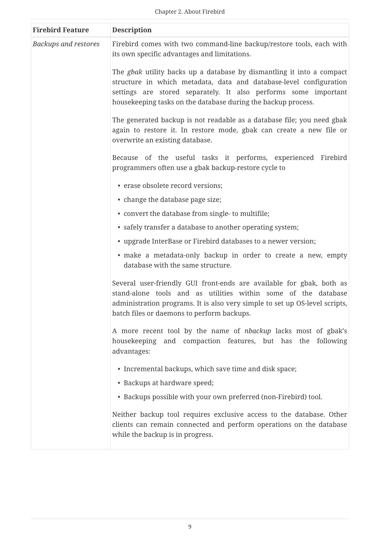| <b>Firebird Feature</b>     | <b>Description</b>                                                                                                                                                                                                                                                                     |
|-----------------------------|----------------------------------------------------------------------------------------------------------------------------------------------------------------------------------------------------------------------------------------------------------------------------------------|
| <b>Backups and restores</b> | Firebird comes with two command-line backup/restore tools, each with<br>its own specific advantages and limitations.                                                                                                                                                                   |
|                             | The <i>gbak</i> utility backs up a database by dismantling it into a compact<br>structure in which metadata, data and database-level configuration<br>settings are stored separately. It also performs some important<br>housekeeping tasks on the database during the backup process. |
|                             | The generated backup is not readable as a database file; you need gbak<br>again to restore it. In restore mode, gbak can create a new file or<br>overwrite an existing database.                                                                                                       |
|                             | Because of the useful tasks it performs, experienced Firebird<br>programmers often use a gbak backup-restore cycle to                                                                                                                                                                  |
|                             | • erase obsolete record versions;                                                                                                                                                                                                                                                      |
|                             | • change the database page size;                                                                                                                                                                                                                                                       |
|                             | • convert the database from single- to multifile;                                                                                                                                                                                                                                      |
|                             | • safely transfer a database to another operating system;                                                                                                                                                                                                                              |
|                             | • upgrade InterBase or Firebird databases to a newer version;                                                                                                                                                                                                                          |
|                             | · make a metadata-only backup in order to create a new, empty<br>database with the same structure.                                                                                                                                                                                     |
|                             | Several user-friendly GUI front-ends are available for gbak, both as<br>stand-alone tools and as utilities within some of the database<br>administration programs. It is also very simple to set up OS-level scripts,<br>batch files or daemons to perform backups.                    |
|                             | A more recent tool by the name of <i>nbackup</i> lacks most of gbak's<br>housekeeping and compaction features, but has the<br>following<br>advantages:                                                                                                                                 |
|                             | • Incremental backups, which save time and disk space;                                                                                                                                                                                                                                 |
|                             | • Backups at hardware speed;                                                                                                                                                                                                                                                           |
|                             | • Backups possible with your own preferred (non-Firebird) tool.                                                                                                                                                                                                                        |
|                             | Neither backup tool requires exclusive access to the database. Other<br>clients can remain connected and perform operations on the database<br>while the backup is in progress.                                                                                                        |
|                             |                                                                                                                                                                                                                                                                                        |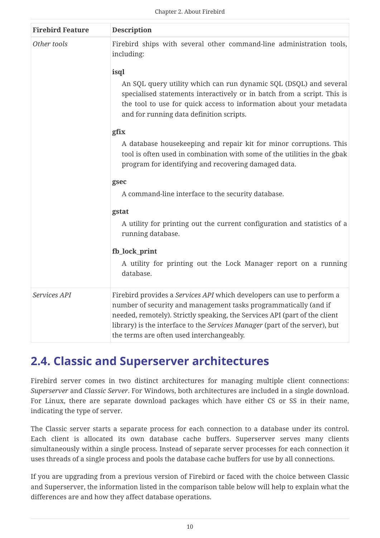| <b>Firebird Feature</b> | <b>Description</b>                                                                                                                                                                                                                                                                                                                                   |  |  |
|-------------------------|------------------------------------------------------------------------------------------------------------------------------------------------------------------------------------------------------------------------------------------------------------------------------------------------------------------------------------------------------|--|--|
| Other tools             | Firebird ships with several other command-line administration tools,<br>including:                                                                                                                                                                                                                                                                   |  |  |
|                         | isql                                                                                                                                                                                                                                                                                                                                                 |  |  |
|                         | An SQL query utility which can run dynamic SQL (DSQL) and several<br>specialised statements interactively or in batch from a script. This is<br>the tool to use for quick access to information about your metadata<br>and for running data definition scripts.                                                                                      |  |  |
| gfix                    |                                                                                                                                                                                                                                                                                                                                                      |  |  |
|                         | A database housekeeping and repair kit for minor corruptions. This<br>tool is often used in combination with some of the utilities in the gbak<br>program for identifying and recovering damaged data.                                                                                                                                               |  |  |
|                         | gsec<br>A command-line interface to the security database.                                                                                                                                                                                                                                                                                           |  |  |
|                         |                                                                                                                                                                                                                                                                                                                                                      |  |  |
|                         | gstat                                                                                                                                                                                                                                                                                                                                                |  |  |
|                         | A utility for printing out the current configuration and statistics of a<br>running database.                                                                                                                                                                                                                                                        |  |  |
|                         | fb_lock_print                                                                                                                                                                                                                                                                                                                                        |  |  |
|                         | A utility for printing out the Lock Manager report on a running<br>database.                                                                                                                                                                                                                                                                         |  |  |
| Services API            | Firebird provides a Services API which developers can use to perform a<br>number of security and management tasks programmatically (and if<br>needed, remotely). Strictly speaking, the Services API (part of the client<br>library) is the interface to the Services Manager (part of the server), but<br>the terms are often used interchangeably. |  |  |

## <span id="page-10-0"></span>**2.4. Classic and Superserver architectures**

Firebird server comes in two distinct architectures for managing multiple client connections: *Superserver* and *Classic Server*. For Windows, both architectures are included in a single download. For Linux, there are separate download packages which have either CS or SS in their name, indicating the type of server.

The Classic server starts a separate process for each connection to a database under its control. Each client is allocated its own database cache buffers. Superserver serves many clients simultaneously within a single process. Instead of separate server processes for each connection it uses threads of a single process and pools the database cache buffers for use by all connections.

If you are upgrading from a previous version of Firebird or faced with the choice between Classic and Superserver, the information listed in the comparison table below will help to explain what the differences are and how they affect database operations.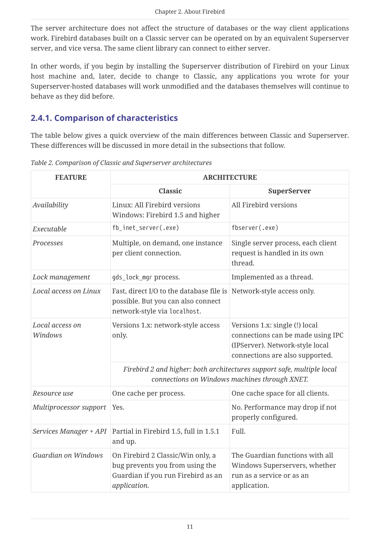The server architecture does not affect the structure of databases or the way client applications work. Firebird databases built on a Classic server can be operated on by an equivalent Superserver server, and vice versa. The same client library can connect to either server.

In other words, if you begin by installing the Superserver distribution of Firebird on your Linux host machine and, later, decide to change to Classic, any applications you wrote for your Superserver-hosted databases will work unmodified and the databases themselves will continue to behave as they did before.

## <span id="page-11-0"></span>**2.4.1. Comparison of characteristics**

The table below gives a quick overview of the main differences between Classic and Superserver. These differences will be discussed in more detail in the subsections that follow.

| <b>FEATURE</b>             | <b>ARCHITECTURE</b>                                                                                                        |                                                                                                                                           |  |
|----------------------------|----------------------------------------------------------------------------------------------------------------------------|-------------------------------------------------------------------------------------------------------------------------------------------|--|
|                            | <b>Classic</b>                                                                                                             | SuperServer                                                                                                                               |  |
| Availability               | Linux: All Firebird versions<br>Windows: Firebird 1.5 and higher                                                           | All Firebird versions                                                                                                                     |  |
| Executable                 | fb_inet_server(.exe)                                                                                                       | fbserver(.exe)                                                                                                                            |  |
| Processes                  | Multiple, on demand, one instance<br>per client connection.                                                                | Single server process, each client<br>request is handled in its own<br>thread.                                                            |  |
| Lock management            | gds_lock_mgr process.                                                                                                      | Implemented as a thread.                                                                                                                  |  |
| Local access on Linux      | Fast, direct I/O to the database file is<br>possible. But you can also connect<br>network-style via localhost.             | Network-style access only.                                                                                                                |  |
| Local access on<br>Windows | Versions 1.x: network-style access<br>only.                                                                                | Versions 1.x: single (!) local<br>connections can be made using IPC<br>(IPServer). Network-style local<br>connections are also supported. |  |
|                            | Firebird 2 and higher: both architectures support safe, multiple local<br>connections on Windows machines through XNET.    |                                                                                                                                           |  |
| Resource use               | One cache space for all clients.<br>One cache per process.                                                                 |                                                                                                                                           |  |
| Multiprocessor support     | Yes.                                                                                                                       | No. Performance may drop if not<br>properly configured.                                                                                   |  |
| Services Manager + API     | Partial in Firebird 1.5, full in 1.5.1<br>and up.                                                                          | Full.                                                                                                                                     |  |
| Guardian on Windows        | On Firebird 2 Classic/Win only, a<br>bug prevents you from using the<br>Guardian if you run Firebird as an<br>application. | The Guardian functions with all<br>Windows Superservers, whether<br>run as a service or as an<br>application.                             |  |

*Table 2. Comparison of Classic and Superserver architectures*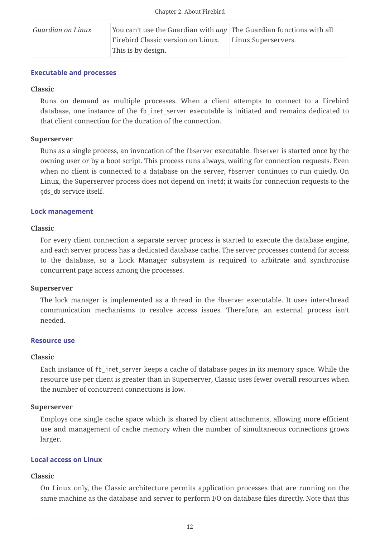| Guardian on Linux | You can't use the Guardian with any The Guardian functions with all |                     |
|-------------------|---------------------------------------------------------------------|---------------------|
|                   | Firebird Classic version on Linux.                                  | Linux Superservers. |
|                   | This is by design.                                                  |                     |

#### **Executable and processes**

### **Classic**

Runs on demand as multiple processes. When a client attempts to connect to a Firebird database, one instance of the fb\_inet\_server executable is initiated and remains dedicated to that client connection for the duration of the connection.

### **Superserver**

Runs as a single process, an invocation of the fbserver executable. fbserver is started once by the owning user or by a boot script. This process runs always, waiting for connection requests. Even when no client is connected to a database on the server, fbserver continues to run quietly. On Linux, the Superserver process does not depend on inetd; it waits for connection requests to the gds db service itself.

### **Lock management**

### **Classic**

For every client connection a separate server process is started to execute the database engine, and each server process has a dedicated database cache. The server processes contend for access to the database, so a Lock Manager subsystem is required to arbitrate and synchronise concurrent page access among the processes.

#### **Superserver**

The lock manager is implemented as a thread in the fbserver executable. It uses inter-thread communication mechanisms to resolve access issues. Therefore, an external process isn't needed.

#### **Resource use**

#### **Classic**

Each instance of fb\_inet\_server keeps a cache of database pages in its memory space. While the resource use per client is greater than in Superserver, Classic uses fewer overall resources when the number of concurrent connections is low.

#### **Superserver**

Employs one single cache space which is shared by client attachments, allowing more efficient use and management of cache memory when the number of simultaneous connections grows larger.

#### **Local access on Linux**

#### **Classic**

On Linux only, the Classic architecture permits application processes that are running on the same machine as the database and server to perform I/O on database files directly. Note that this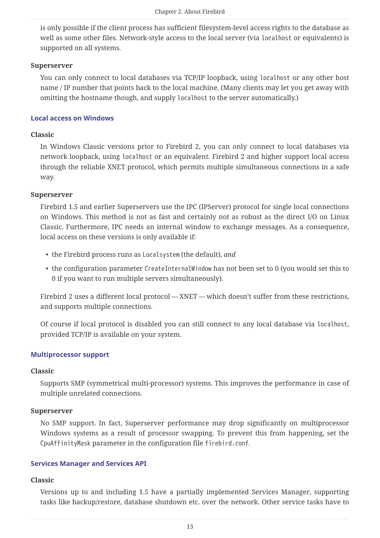is only possible if the client process has sufficient filesystem-level access rights to the database as well as some other files. Network-style access to the local server (via localhost or equivalents) is supported on all systems.

#### **Superserver**

You can only connect to local databases via TCP/IP loopback, using localhost or any other host name / IP number that points back to the local machine. (Many clients may let you get away with omitting the hostname though, and supply localhost to the server automatically.)

### **Local access on Windows**

### **Classic**

In Windows Classic versions prior to Firebird 2, you can only connect to local databases via network loopback, using localhost or an equivalent. Firebird 2 and higher support local access through the reliable XNET protocol, which permits multiple simultaneous connections in a safe way.

### **Superserver**

Firebird 1.5 and earlier Superservers use the IPC (IPServer) protocol for single local connections on Windows. This method is not as fast and certainly not as robust as the direct I/O on Linux Classic. Furthermore, IPC needs an internal window to exchange messages. As a consequence, local access on these versions is only available if:

- the Firebird process runs as Localsystem (the default), *and*
- the configuration parameter CreateInternalWindow has not been set to 0 (you would set this to 0 if you want to run multiple servers simultaneously).

Firebird 2 uses a different local protocol — XNET — which doesn't suffer from these restrictions, and supports multiple connections.

Of course if local protocol is disabled you can still connect to any local database via localhost, provided TCP/IP is available on your system.

## **Multiprocessor support**

#### **Classic**

Supports SMP (symmetrical multi-processor) systems. This improves the performance in case of multiple unrelated connections.

## **Superserver**

No SMP support. In fact, Superserver performance may drop significantly on multiprocessor Windows systems as a result of processor swapping. To prevent this from happening, set the CpuAffinityMask parameter in the configuration file firebird.conf.

## **Services Manager and Services API**

#### **Classic**

Versions up to and including 1.5 have a partially implemented Services Manager, supporting tasks like backup/restore, database shutdown etc. over the network. Other service tasks have to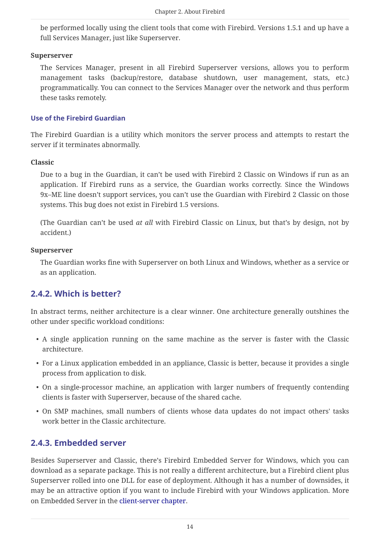be performed locally using the client tools that come with Firebird. Versions 1.5.1 and up have a full Services Manager, just like Superserver.

#### **Superserver**

The Services Manager, present in all Firebird Superserver versions, allows you to perform management tasks (backup/restore, database shutdown, user management, stats, etc.) programmatically. You can connect to the Services Manager over the network and thus perform these tasks remotely.

#### **Use of the Firebird Guardian**

The Firebird Guardian is a utility which monitors the server process and attempts to restart the server if it terminates abnormally.

#### **Classic**

Due to a bug in the Guardian, it can't be used with Firebird 2 Classic on Windows if run as an application. If Firebird runs as a service, the Guardian works correctly. Since the Windows 9x–ME line doesn't support services, you can't use the Guardian with Firebird 2 Classic on those systems. This bug does not exist in Firebird 1.5 versions.

(The Guardian can't be used *at all* with Firebird Classic on Linux, but that's by design, not by accident.)

#### **Superserver**

The Guardian works fine with Superserver on both Linux and Windows, whether as a service or as an application.

## <span id="page-14-0"></span>**2.4.2. Which is better?**

In abstract terms, neither architecture is a clear winner. One architecture generally outshines the other under specific workload conditions:

- A single application running on the same machine as the server is faster with the Classic architecture.
- For a Linux application embedded in an appliance, Classic is better, because it provides a single process from application to disk.
- On a single-processor machine, an application with larger numbers of frequently contending clients is faster with Superserver, because of the shared cache.
- On SMP machines, small numbers of clients whose data updates do not impact others' tasks work better in the Classic architecture.

## <span id="page-14-1"></span>**2.4.3. Embedded server**

Besides Superserver and Classic, there's Firebird Embedded Server for Windows, which you can download as a separate package. This is not really a different architecture, but a Firebird client plus Superserver rolled into one DLL for ease of deployment. Although it has a number of downsides, it may be an attractive option if you want to include Firebird with your Windows application. More on Embedded Server in the [client-server chapter](#page-20-2).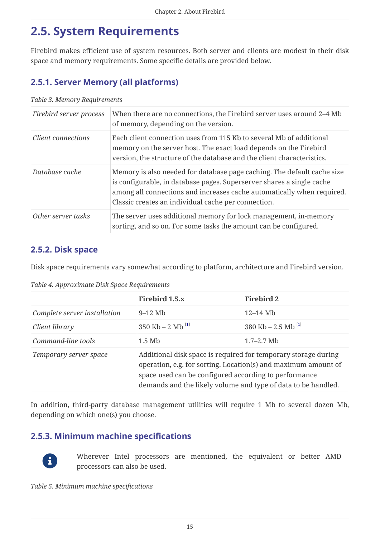## <span id="page-15-0"></span>**2.5. System Requirements**

Firebird makes efficient use of system resources. Both server and clients are modest in their disk space and memory requirements. Some specific details are provided below.

## <span id="page-15-1"></span>**2.5.1. Server Memory (all platforms)**

#### *Table 3. Memory Requirements*

| Firebird server process | When there are no connections, the Firebird server uses around 2-4 Mb<br>of memory, depending on the version.                                                                                                                                                                     |
|-------------------------|-----------------------------------------------------------------------------------------------------------------------------------------------------------------------------------------------------------------------------------------------------------------------------------|
| Client connections      | Each client connection uses from 115 Kb to several Mb of additional<br>memory on the server host. The exact load depends on the Firebird<br>version, the structure of the database and the client characteristics.                                                                |
| Database cache          | Memory is also needed for database page caching. The default cache size<br>is configurable, in database pages. Superserver shares a single cache<br>among all connections and increases cache automatically when required.<br>Classic creates an individual cache per connection. |
| Other server tasks      | The server uses additional memory for lock management, in-memory<br>sorting, and so on. For some tasks the amount can be configured.                                                                                                                                              |

## <span id="page-15-2"></span>**2.5.2. Disk space**

Disk space requirements vary somewhat according to platform, architecture and Firebird version.

*Table 4. Approximate Disk Space Requirements*

<span id="page-15-4"></span>

|                              | Firebird 1.5.x                                                                                                                                                                                                                                             | <b>Firebird 2</b>                |
|------------------------------|------------------------------------------------------------------------------------------------------------------------------------------------------------------------------------------------------------------------------------------------------------|----------------------------------|
| Complete server installation | $9-12$ Mb                                                                                                                                                                                                                                                  | $12-14$ Mb                       |
| Client library               | 350 Kb – 2 Mb $^{[1]}$                                                                                                                                                                                                                                     | 380 Kb $- 2.5$ Mb <sup>[1]</sup> |
| Command-line tools           | $1.5$ Mb                                                                                                                                                                                                                                                   | $1.7 - 2.7$ Mb                   |
| Temporary server space       | Additional disk space is required for temporary storage during<br>operation, e.g. for sorting. Location(s) and maximum amount of<br>space used can be configured according to performance<br>demands and the likely volume and type of data to be handled. |                                  |

In addition, third-party database management utilities will require 1 Mb to several dozen Mb, depending on which one(s) you choose.

## <span id="page-15-3"></span>**2.5.3. Minimum machine specifications**



Wherever Intel processors are mentioned, the equivalent or better AMD processors can also be used.

*Table 5. Minimum machine specifications*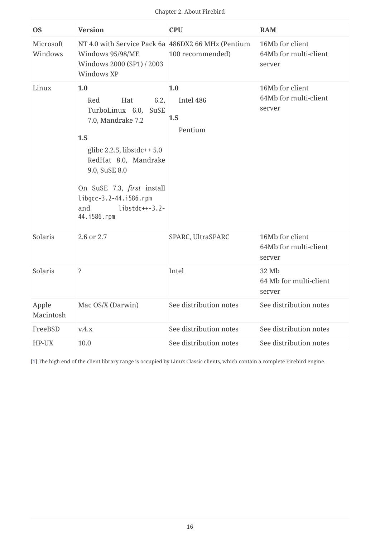| <b>OS</b>            | <b>Version</b>                                                                                                                                                                                                                                                 | <b>CPU</b>                         | <b>RAM</b>                                         |
|----------------------|----------------------------------------------------------------------------------------------------------------------------------------------------------------------------------------------------------------------------------------------------------------|------------------------------------|----------------------------------------------------|
| Microsoft<br>Windows | NT 4.0 with Service Pack 6a 486DX2 66 MHz (Pentium<br>Windows 95/98/ME<br>Windows 2000 (SP1) / 2003<br>Windows XP                                                                                                                                              | 100 recommended)                   | 16Mb for client<br>64Mb for multi-client<br>server |
| Linux                | 1.0<br>6.2,<br>Hat<br>Red<br>TurboLinux 6.0,<br>SuSE<br>7.0, Mandrake 7.2<br>1.5<br>glibc $2.2.5$ , libstdc++ $5.0$<br>RedHat 8.0, Mandrake<br>9.0, SuSE 8.0<br>On SuSE 7.3, first install<br>libgcc-3.2-44.i586.rpm<br>$libstdc++-3.2-$<br>and<br>44.i586.rpm | 1.0<br>Intel 486<br>1.5<br>Pentium | 16Mb for client<br>64Mb for multi-client<br>server |
| Solaris              | 2.6 or 2.7                                                                                                                                                                                                                                                     | SPARC, UltraSPARC                  | 16Mb for client<br>64Mb for multi-client<br>server |
| Solaris              | $\ddot{\mathbf{S}}$                                                                                                                                                                                                                                            | Intel                              | 32 Mb<br>64 Mb for multi-client<br>server          |
| Apple<br>Macintosh   | Mac OS/X (Darwin)                                                                                                                                                                                                                                              | See distribution notes             | See distribution notes                             |
| FreeBSD              | V.4.X                                                                                                                                                                                                                                                          | See distribution notes             | See distribution notes                             |
| HP-UX                | 10.0                                                                                                                                                                                                                                                           | See distribution notes             | See distribution notes                             |

<span id="page-16-0"></span>[\[1\]](#page-15-4) The high end of the client library range is occupied by Linux Classic clients, which contain a complete Firebird engine.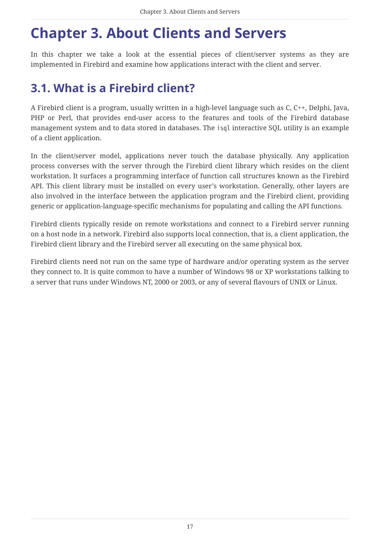# <span id="page-17-0"></span>**Chapter 3. About Clients and Servers**

In this chapter we take a look at the essential pieces of client/server systems as they are implemented in Firebird and examine how applications interact with the client and server.

## <span id="page-17-1"></span>**3.1. What is a Firebird client?**

A Firebird client is a program, usually written in a high-level language such as C, C++, Delphi, Java, PHP or Perl, that provides end-user access to the features and tools of the Firebird database management system and to data stored in databases. The isql interactive SQL utility is an example of a client application.

In the client/server model, applications never touch the database physically. Any application process converses with the server through the Firebird client library which resides on the client workstation. It surfaces a programming interface of function call structures known as the Firebird API. This client library must be installed on every user's workstation. Generally, other layers are also involved in the interface between the application program and the Firebird client, providing generic or application-language-specific mechanisms for populating and calling the API functions.

Firebird clients typically reside on remote workstations and connect to a Firebird server running on a host node in a network. Firebird also supports local connection, that is, a client application, the Firebird client library and the Firebird server all executing on the same physical box.

Firebird clients need not run on the same type of hardware and/or operating system as the server they connect to. It is quite common to have a number of Windows 98 or XP workstations talking to a server that runs under Windows NT, 2000 or 2003, or any of several flavours of UNIX or Linux.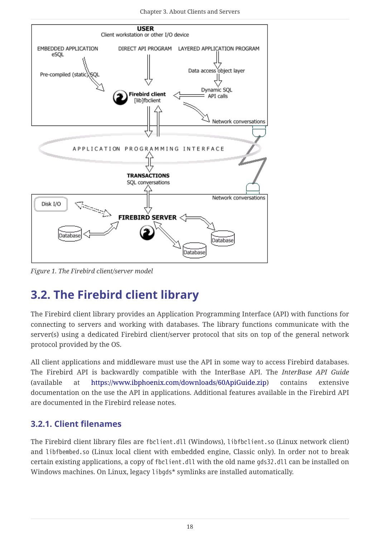

*Figure 1. The Firebird client/server model*

## <span id="page-18-0"></span>**3.2. The Firebird client library**

The Firebird client library provides an Application Programming Interface (API) with functions for connecting to servers and working with databases. The library functions communicate with the server(s) using a dedicated Firebird client/server protocol that sits on top of the general network protocol provided by the OS.

All client applications and middleware must use the API in some way to access Firebird databases. The Firebird API is backwardly compatible with the InterBase API. The *InterBase API Guide* (available at [https://www.ibphoenix.com/downloads/60ApiGuide.zip\)](https://www.ibphoenix.com/downloads/60ApiGuide.zip) contains extensive documentation on the use the API in applications. Additional features available in the Firebird API are documented in the Firebird release notes.

## <span id="page-18-1"></span>**3.2.1. Client filenames**

The Firebird client library files are fbclient.dll (Windows), libfbclient.so (Linux network client) and libfbembed.so (Linux local client with embedded engine, Classic only). In order not to break certain existing applications, a copy of fbclient.dll with the old name gds32.dll can be installed on Windows machines. On Linux, legacy libgds\* symlinks are installed automatically.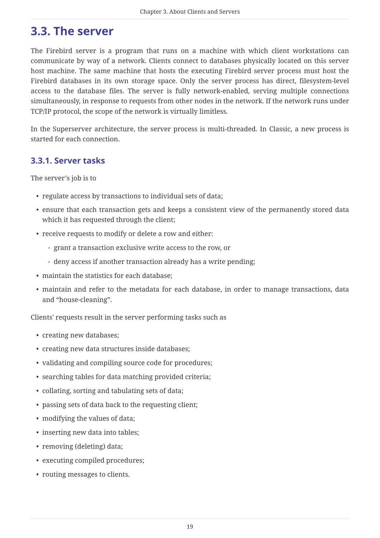## <span id="page-19-0"></span>**3.3. The server**

The Firebird server is a program that runs on a machine with which client workstations can communicate by way of a network. Clients connect to databases physically located on this server host machine. The same machine that hosts the executing Firebird server process must host the Firebird databases in its own storage space. Only the server process has direct, filesystem-level access to the database files. The server is fully network-enabled, serving multiple connections simultaneously, in response to requests from other nodes in the network. If the network runs under TCP/IP protocol, the scope of the network is virtually limitless.

In the Superserver architecture, the server process is multi-threaded. In Classic, a new process is started for each connection.

## <span id="page-19-1"></span>**3.3.1. Server tasks**

The server's job is to

- regulate access by transactions to individual sets of data;
- ensure that each transaction gets and keeps a consistent view of the permanently stored data which it has requested through the client;
- receive requests to modify or delete a row and either:
	- grant a transaction exclusive write access to the row, or
	- deny access if another transaction already has a write pending;
- maintain the statistics for each database;
- maintain and refer to the metadata for each database, in order to manage transactions, data and "house-cleaning".

Clients' requests result in the server performing tasks such as

- creating new databases;
- creating new data structures inside databases;
- validating and compiling source code for procedures;
- searching tables for data matching provided criteria;
- collating, sorting and tabulating sets of data;
- passing sets of data back to the requesting client;
- modifying the values of data;
- inserting new data into tables;
- removing (deleting) data;
- executing compiled procedures;
- routing messages to clients.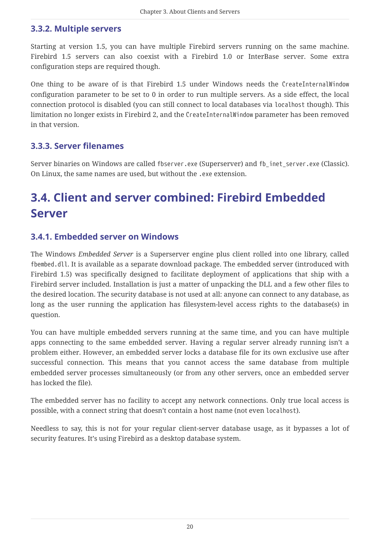## <span id="page-20-0"></span>**3.3.2. Multiple servers**

Starting at version 1.5, you can have multiple Firebird servers running on the same machine. Firebird 1.5 servers can also coexist with a Firebird 1.0 or InterBase server. Some extra configuration steps are required though.

One thing to be aware of is that Firebird 1.5 under Windows needs the CreateInternalWindow configuration parameter to be set to 0 in order to run multiple servers. As a side effect, the local connection protocol is disabled (you can still connect to local databases via localhost though). This limitation no longer exists in Firebird 2, and the CreateInternalWindow parameter has been removed in that version.

## <span id="page-20-1"></span>**3.3.3. Server filenames**

Server binaries on Windows are called fbserver.exe (Superserver) and fb\_inet\_server.exe (Classic). On Linux, the same names are used, but without the .exe extension.

## <span id="page-20-2"></span>**3.4. Client and server combined: Firebird Embedded Server**

## <span id="page-20-3"></span>**3.4.1. Embedded server on Windows**

The Windows *Embedded Server* is a Superserver engine plus client rolled into one library, called fbembed.dll. It is available as a separate download package. The embedded server (introduced with Firebird 1.5) was specifically designed to facilitate deployment of applications that ship with a Firebird server included. Installation is just a matter of unpacking the DLL and a few other files to the desired location. The security database is not used at all: anyone can connect to any database, as long as the user running the application has filesystem-level access rights to the database(s) in question.

You can have multiple embedded servers running at the same time, and you can have multiple apps connecting to the same embedded server. Having a regular server already running isn't a problem either. However, an embedded server locks a database file for its own exclusive use after successful connection. This means that you cannot access the same database from multiple embedded server processes simultaneously (or from any other servers, once an embedded server has locked the file).

The embedded server has no facility to accept any network connections. Only true local access is possible, with a connect string that doesn't contain a host name (not even localhost).

Needless to say, this is not for your regular client-server database usage, as it bypasses a lot of security features. It's using Firebird as a desktop database system.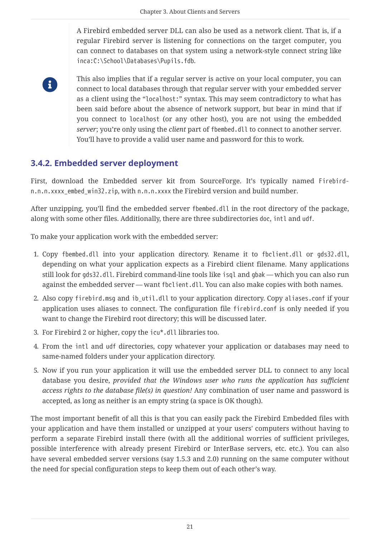A Firebird embedded server DLL can also be used as a network client. That is, if a regular Firebird server is listening for connections on the target computer, you can connect to databases on that system using a network-style connect string like inca:C:\School\Databases\Pupils.fdb.

R)

This also implies that if a regular server is active on your local computer, you can connect to local databases through that regular server with your embedded server as a client using the "localhost:" syntax. This may seem contradictory to what has been said before about the absence of network support, but bear in mind that if you connect to localhost (or any other host), you are not using the embedded *server*; you're only using the *client* part of fbembed.dll to connect to another server. You'll have to provide a valid user name and password for this to work.

## <span id="page-21-0"></span>**3.4.2. Embedded server deployment**

First, download the Embedded server kit from SourceForge. It's typically named Firebirdn.n.n.xxxx\_embed\_win32.zip, with n.n.n.xxxx the Firebird version and build number.

After unzipping, you'll find the embedded server fbembed.dll in the root directory of the package, along with some other files. Additionally, there are three subdirectories doc, intl and udf.

To make your application work with the embedded server:

- 1. Copy fbembed.dll into your application directory. Rename it to fbclient.dll or gds32.dll, depending on what your application expects as a Firebird client filename. Many applications still look for gds32.dll. Firebird command-line tools like isql and gbak — which you can also run against the embedded server — want fbclient.dll. You can also make copies with both names.
- 2. Also copy firebird.msq and ib util.dll to your application directory. Copy aliases.conf if your application uses aliases to connect. The configuration file firebird.conf is only needed if you want to change the Firebird root directory; this will be discussed later.
- 3. For Firebird 2 or higher, copy the icu\*.dll libraries too.
- 4. From the intl and udf directories, copy whatever your application or databases may need to same-named folders under your application directory.
- 5. Now if you run your application it will use the embedded server DLL to connect to any local database you desire, *provided that the Windows user who runs the application has sufficient access rights to the database file(s) in question!* Any combination of user name and password is accepted, as long as neither is an empty string (a space is OK though).

The most important benefit of all this is that you can easily pack the Firebird Embedded files with your application and have them installed or unzipped at your users' computers without having to perform a separate Firebird install there (with all the additional worries of sufficient privileges, possible interference with already present Firebird or InterBase servers, etc. etc.). You can also have several embedded server versions (say 1.5.3 and 2.0) running on the same computer without the need for special configuration steps to keep them out of each other's way.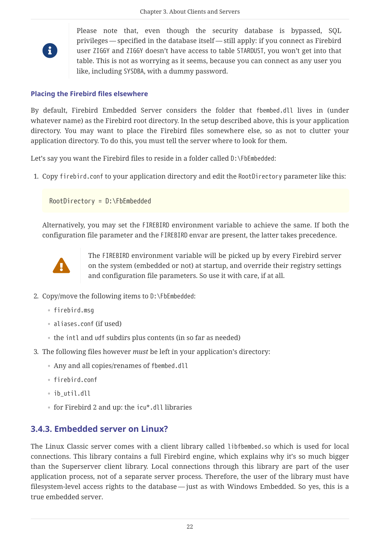

Please note that, even though the security database is bypassed, SQL privileges — specified in the database itself — still apply: if you connect as Firebird user ZIGGY and ZIGGY doesn't have access to table STARDUST, you won't get into that table. This is not as worrying as it seems, because you can connect as any user you like, including SYSDBA, with a dummy password.

### **Placing the Firebird files elsewhere**

By default, Firebird Embedded Server considers the folder that fbembed.dll lives in (under whatever name) as the Firebird root directory. In the setup described above, this is your application directory. You may want to place the Firebird files somewhere else, so as not to clutter your application directory. To do this, you must tell the server where to look for them.

Let's say you want the Firebird files to reside in a folder called  $D$ : \FbEmbedded:

1. Copy firebird.conf to your application directory and edit the RootDirectory parameter like this:

RootDirectory = D:\FbEmbedded

Alternatively, you may set the FIREBIRD environment variable to achieve the same. If both the configuration file parameter and the FIREBIRD envar are present, the latter takes precedence.



The FIREBIRD environment variable will be picked up by every Firebird server on the system (embedded or not) at startup, and override their registry settings and configuration file parameters. So use it with care, if at all.

- 2. Copy/move the following items to D:\FbEmbedded:
	- firebird.msg
	- aliases.conf (if used)
	- the intl and udf subdirs plus contents (in so far as needed)
- 3. The following files however *must* be left in your application's directory:
	- Any and all copies/renames of fbembed.dll
	- firebird.conf
	- ib\_util.dll
	- for Firebird 2 and up: the icu\*.dll libraries

## <span id="page-22-0"></span>**3.4.3. Embedded server on Linux?**

The Linux Classic server comes with a client library called libfbembed.so which is used for local connections. This library contains a full Firebird engine, which explains why it's so much bigger than the Superserver client library. Local connections through this library are part of the user application process, not of a separate server process. Therefore, the user of the library must have filesystem-level access rights to the database — just as with Windows Embedded. So yes, this is a true embedded server.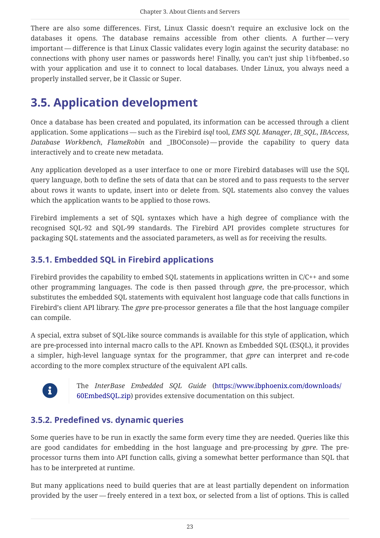There are also some differences. First, Linux Classic doesn't require an exclusive lock on the databases it opens. The database remains accessible from other clients. A further - very important — difference is that Linux Classic validates every login against the security database: no connections with phony user names or passwords here! Finally, you can't just ship libfbembed.so with your application and use it to connect to local databases. Under Linux, you always need a properly installed server, be it Classic or Super.

## <span id="page-23-0"></span>**3.5. Application development**

Once a database has been created and populated, its information can be accessed through a client application. Some applications — such as the Firebird *isql* tool, *EMS SQL Manager*, *IB\_SQL*, *IBAccess*, *Database Workbench*, *FlameRobin* and \_IBOConsole) — provide the capability to query data interactively and to create new metadata.

Any application developed as a user interface to one or more Firebird databases will use the SQL query language, both to define the sets of data that can be stored and to pass requests to the server about rows it wants to update, insert into or delete from. SQL statements also convey the values which the application wants to be applied to those rows.

Firebird implements a set of SQL syntaxes which have a high degree of compliance with the recognised SQL-92 and SQL-99 standards. The Firebird API provides complete structures for packaging SQL statements and the associated parameters, as well as for receiving the results.

## <span id="page-23-1"></span>**3.5.1. Embedded SQL in Firebird applications**

Firebird provides the capability to embed SOL statements in applications written in  $C/C++$  and some other programming languages. The code is then passed through *gpre*, the pre-processor, which substitutes the embedded SQL statements with equivalent host language code that calls functions in Firebird's client API library. The *gpre* pre-processor generates a file that the host language compiler can compile.

A special, extra subset of SQL-like source commands is available for this style of application, which are pre-processed into internal macro calls to the API. Known as Embedded SQL (ESQL), it provides a simpler, high-level language syntax for the programmer, that *gpre* can interpret and re-code according to the more complex structure of the equivalent API calls.



The *InterBase Embedded SQL Guide* ([https://www.ibphoenix.com/downloads/](https://www.ibphoenix.com/downloads/60EmbedSQL.zip) [60EmbedSQL.zip\)](https://www.ibphoenix.com/downloads/60EmbedSQL.zip) provides extensive documentation on this subject.

## <span id="page-23-2"></span>**3.5.2. Predefined vs. dynamic queries**

Some queries have to be run in exactly the same form every time they are needed. Queries like this are good candidates for embedding in the host language and pre-processing by *gpre*. The preprocessor turns them into API function calls, giving a somewhat better performance than SQL that has to be interpreted at runtime.

But many applications need to build queries that are at least partially dependent on information provided by the user — freely entered in a text box, or selected from a list of options. This is called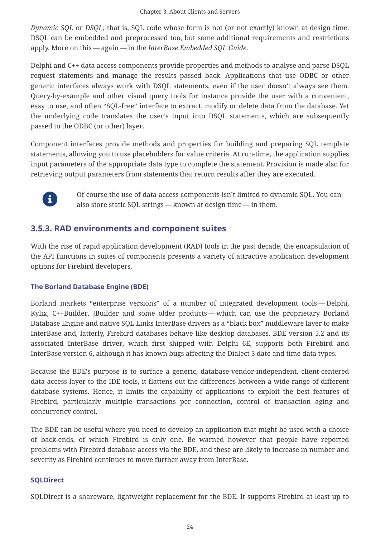*Dynamic SQL* or *DSQL*; that is, SQL code whose form is not (or not exactly) known at design time. DSQL can be embedded and preprocessed too, but some additional requirements and restrictions apply. More on this — again — in the *InterBase Embedded SQL Guide*.

Delphi and C++ data access components provide properties and methods to analyse and parse DSQL request statements and manage the results passed back. Applications that use ODBC or other generic interfaces always work with DSQL statements, even if the user doesn't always see them. Query-by-example and other visual query tools for instance provide the user with a convenient, easy to use, and often "SQL-free" interface to extract, modify or delete data from the database. Yet the underlying code translates the user's input into DSQL statements, which are subsequently passed to the ODBC (or other) layer.

Component interfaces provide methods and properties for building and preparing SQL template statements, allowing you to use placeholders for value criteria. At run-time, the application supplies input parameters of the appropriate data type to complete the statement. Provision is made also for retrieving output parameters from statements that return results after they are executed.



Of course the use of data access components isn't limited to dynamic SQL. You can also store static SQL strings — known at design time — in them.

## <span id="page-24-0"></span>**3.5.3. RAD environments and component suites**

With the rise of rapid application development (RAD) tools in the past decade, the encapsulation of the API functions in suites of components presents a variety of attractive application development options for Firebird developers.

## **The Borland Database Engine (BDE)**

Borland markets "enterprise versions" of a number of integrated development tools — Delphi, Kylix, C++Builder, JBuilder and some older products — which can use the proprietary Borland Database Engine and native SQL Links InterBase drivers as a "black box" middleware layer to make InterBase and, latterly, Firebird databases behave like desktop databases. BDE version 5.2 and its associated InterBase driver, which first shipped with Delphi 6E, supports both Firebird and InterBase version 6, although it has known bugs affecting the Dialect 3 date and time data types.

Because the BDE's purpose is to surface a generic, database-vendor-independent, client-centered data access layer to the IDE tools, it flattens out the differences between a wide range of different database systems. Hence, it limits the capability of applications to exploit the best features of Firebird, particularly multiple transactions per connection, control of transaction aging and concurrency control.

The BDE can be useful where you need to develop an application that might be used with a choice of back-ends, of which Firebird is only one. Be warned however that people have reported problems with Firebird database access via the BDE, and these are likely to increase in number and severity as Firebird continues to move further away from InterBase.

## **SQLDirect**

SQLDirect is a shareware, lightweight replacement for the BDE. It supports Firebird at least up to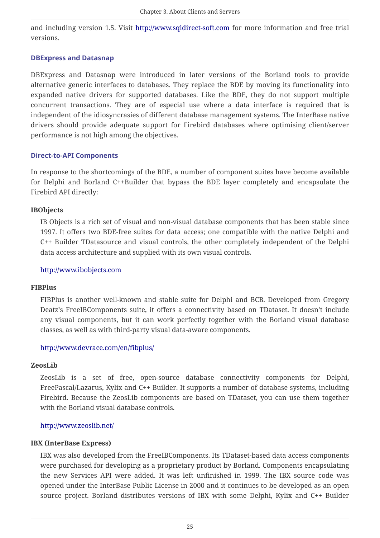and including version 1.5. Visit <http://www.sqldirect-soft.com>for more information and free trial versions.

### **DBExpress and Datasnap**

DBExpress and Datasnap were introduced in later versions of the Borland tools to provide alternative generic interfaces to databases. They replace the BDE by moving its functionality into expanded native drivers for supported databases. Like the BDE, they do not support multiple concurrent transactions. They are of especial use where a data interface is required that is independent of the idiosyncrasies of different database management systems. The InterBase native drivers should provide adequate support for Firebird databases where optimising client/server performance is not high among the objectives.

### **Direct-to-API Components**

In response to the shortcomings of the BDE, a number of component suites have become available for Delphi and Borland C++Builder that bypass the BDE layer completely and encapsulate the Firebird API directly:

#### **IBObjects**

IB Objects is a rich set of visual and non-visual database components that has been stable since 1997. It offers two BDE-free suites for data access; one compatible with the native Delphi and C++ Builder TDatasource and visual controls, the other completely independent of the Delphi data access architecture and supplied with its own visual controls.

#### <http://www.ibobjects.com>

#### **FIBPlus**

FIBPlus is another well-known and stable suite for Delphi and BCB. Developed from Gregory Deatz's FreeIBComponents suite, it offers a connectivity based on TDataset. It doesn't include any visual components, but it can work perfectly together with the Borland visual database classes, as well as with third-party visual data-aware components.

## <http://www.devrace.com/en/fibplus/>

#### **ZeosLib**

ZeosLib is a set of free, open-source database connectivity components for Delphi, FreePascal/Lazarus, Kylix and C++ Builder. It supports a number of database systems, including Firebird. Because the ZeosLib components are based on TDataset, you can use them together with the Borland visual database controls.

#### <http://www.zeoslib.net/>

#### **IBX (InterBase Express)**

IBX was also developed from the FreeIBComponents. Its TDataset-based data access components were purchased for developing as a proprietary product by Borland. Components encapsulating the new Services API were added. It was left unfinished in 1999. The IBX source code was opened under the InterBase Public License in 2000 and it continues to be developed as an open source project. Borland distributes versions of IBX with some Delphi, Kylix and C++ Builder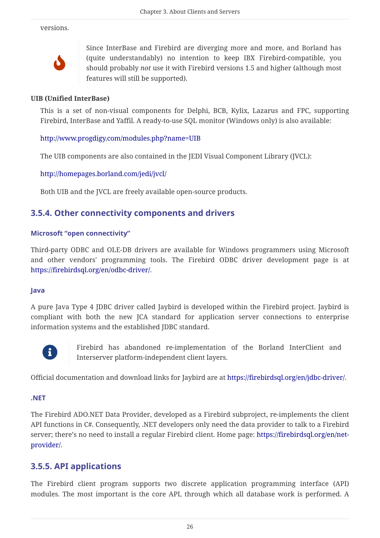versions.



Since InterBase and Firebird are diverging more and more, and Borland has (quite understandably) no intention to keep IBX Firebird-compatible, you should probably *not* use it with Firebird versions 1.5 and higher (although most features will still be supported).

#### **UIB (Unified InterBase)**

This is a set of non-visual components for Delphi, BCB, Kylix, Lazarus and FPC, supporting Firebird, InterBase and Yaffil. A ready-to-use SQL monitor (Windows only) is also available:

## <http://www.progdigy.com/modules.php?name=UIB>

The UIB components are also contained in the JEDI Visual Component Library (JVCL):

<http://homepages.borland.com/jedi/jvcl/>

Both UIB and the JVCL are freely available open-source products.

## <span id="page-26-0"></span>**3.5.4. Other connectivity components and drivers**

## **Microsoft "open connectivity"**

Third-party ODBC and OLE-DB drivers are available for Windows programmers using Microsoft and other vendors' programming tools. The Firebird ODBC driver development page is at <https://firebirdsql.org/en/odbc-driver/>.

## **Java**

A pure Java Type 4 JDBC driver called Jaybird is developed within the Firebird project. Jaybird is compliant with both the new JCA standard for application server connections to enterprise information systems and the established JDBC standard.



Firebird has abandoned re-implementation of the Borland InterClient and Interserver platform-independent client layers.

Official documentation and download links for Jaybird are at<https://firebirdsql.org/en/jdbc-driver/>.

#### **.NET**

The Firebird ADO.NET Data Provider, developed as a Firebird subproject, re-implements the client API functions in C#. Consequently, .NET developers only need the data provider to talk to a Firebird server; there's no need to install a regular Firebird client. Home page: [https://firebirdsql.org/en/net](https://firebirdsql.org/en/net-provider/)[provider/](https://firebirdsql.org/en/net-provider/).

## <span id="page-26-1"></span>**3.5.5. API applications**

The Firebird client program supports two discrete application programming interface (API) modules. The most important is the core API, through which all database work is performed. A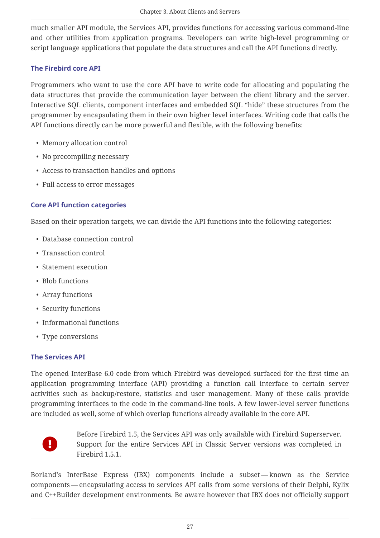much smaller API module, the Services API, provides functions for accessing various command-line and other utilities from application programs. Developers can write high-level programming or script language applications that populate the data structures and call the API functions directly.

## **The Firebird core API**

Programmers who want to use the core API have to write code for allocating and populating the data structures that provide the communication layer between the client library and the server. Interactive SQL clients, component interfaces and embedded SQL "hide" these structures from the programmer by encapsulating them in their own higher level interfaces. Writing code that calls the API functions directly can be more powerful and flexible, with the following benefits:

- Memory allocation control
- No precompiling necessary
- Access to transaction handles and options
- Full access to error messages

## **Core API function categories**

Based on their operation targets, we can divide the API functions into the following categories:

- Database connection control
- Transaction control
- Statement execution
- Blob functions
- Array functions
- Security functions
- Informational functions
- Type conversions

## **The Services API**

The opened InterBase 6.0 code from which Firebird was developed surfaced for the first time an application programming interface (API) providing a function call interface to certain server activities such as backup/restore, statistics and user management. Many of these calls provide programming interfaces to the code in the command-line tools. A few lower-level server functions are included as well, some of which overlap functions already available in the core API.



Before Firebird 1.5, the Services API was only available with Firebird Superserver. Support for the entire Services API in Classic Server versions was completed in Firebird 1.5.1.

Borland's InterBase Express (IBX) components include a subset — known as the Service components — encapsulating access to services API calls from some versions of their Delphi, Kylix and C++Builder development environments. Be aware however that IBX does not officially support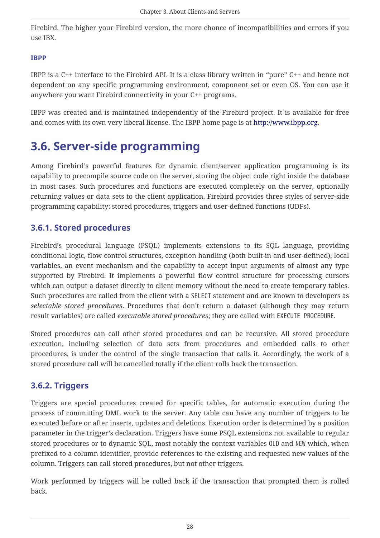Firebird. The higher your Firebird version, the more chance of incompatibilities and errors if you use IBX.

### **IBPP**

IBPP is a C++ interface to the Firebird API. It is a class library written in "pure" C++ and hence not dependent on any specific programming environment, component set or even OS. You can use it anywhere you want Firebird connectivity in your C++ programs.

IBPP was created and is maintained independently of the Firebird project. It is available for free and comes with its own very liberal license. The IBPP home page is at [http://www.ibpp.org.](http://www.ibpp.org)

## <span id="page-28-0"></span>**3.6. Server-side programming**

Among Firebird's powerful features for dynamic client/server application programming is its capability to precompile source code on the server, storing the object code right inside the database in most cases. Such procedures and functions are executed completely on the server, optionally returning values or data sets to the client application. Firebird provides three styles of server-side programming capability: stored procedures, triggers and user-defined functions (UDFs).

## <span id="page-28-1"></span>**3.6.1. Stored procedures**

Firebird's procedural language (PSQL) implements extensions to its SQL language, providing conditional logic, flow control structures, exception handling (both built-in and user-defined), local variables, an event mechanism and the capability to accept input arguments of almost any type supported by Firebird. It implements a powerful flow control structure for processing cursors which can output a dataset directly to client memory without the need to create temporary tables. Such procedures are called from the client with a SELECT statement and are known to developers as *selectable stored procedures*. Procedures that don't return a dataset (although they may return result variables) are called *executable stored procedures*; they are called with EXECUTE PROCEDURE.

Stored procedures can call other stored procedures and can be recursive. All stored procedure execution, including selection of data sets from procedures and embedded calls to other procedures, is under the control of the single transaction that calls it. Accordingly, the work of a stored procedure call will be cancelled totally if the client rolls back the transaction.

## <span id="page-28-2"></span>**3.6.2. Triggers**

Triggers are special procedures created for specific tables, for automatic execution during the process of committing DML work to the server. Any table can have any number of triggers to be executed before or after inserts, updates and deletions. Execution order is determined by a position parameter in the trigger's declaration. Triggers have some PSQL extensions not available to regular stored procedures or to dynamic SQL, most notably the context variables OLD and NEW which, when prefixed to a column identifier, provide references to the existing and requested new values of the column. Triggers can call stored procedures, but not other triggers.

Work performed by triggers will be rolled back if the transaction that prompted them is rolled back.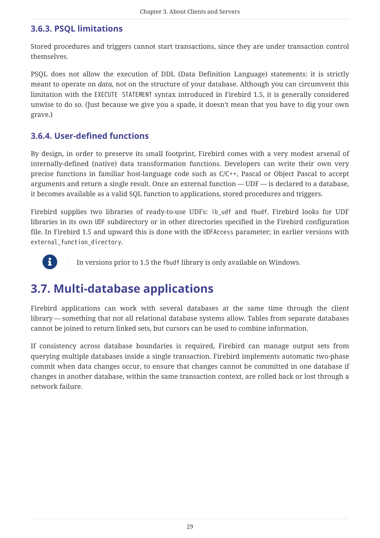## <span id="page-29-0"></span>**3.6.3. PSQL limitations**

Stored procedures and triggers cannot start transactions, since they are under transaction control themselves.

PSQL does not allow the execution of DDL (Data Definition Language) statements: it is strictly meant to operate on *data*, not on the structure of your database. Although you can circumvent this limitation with the EXECUTE STATEMENT syntax introduced in Firebird 1.5, it is generally considered unwise to do so. (Just because we give you a spade, it doesn't mean that you have to dig your own grave.)

## <span id="page-29-1"></span>**3.6.4. User-defined functions**

By design, in order to preserve its small footprint, Firebird comes with a very modest arsenal of internally-defined (native) data transformation functions. Developers can write their own very precise functions in familiar host-language code such as C/C++, Pascal or Object Pascal to accept arguments and return a single result. Once an external function — UDF — is declared to a database, it becomes available as a valid SQL function to applications, stored procedures and triggers.

Firebird supplies two libraries of ready-to-use UDFs: ib\_udf and fbudf. Firebird looks for UDF libraries in its own UDF subdirectory or in other directories specified in the Firebird configuration file. In Firebird 1.5 and upward this is done with the UDFAccess parameter; in earlier versions with external\_function\_directory.



In versions prior to 1.5 the fbudf library is only available on Windows.

## <span id="page-29-2"></span>**3.7. Multi-database applications**

Firebird applications can work with several databases at the same time through the client library — something that not all relational database systems allow. Tables from separate databases cannot be joined to return linked sets, but cursors can be used to combine information.

If consistency across database boundaries is required, Firebird can manage output sets from querying multiple databases inside a single transaction. Firebird implements automatic two-phase commit when data changes occur, to ensure that changes cannot be committed in one database if changes in another database, within the same transaction context, are rolled back or lost through a network failure.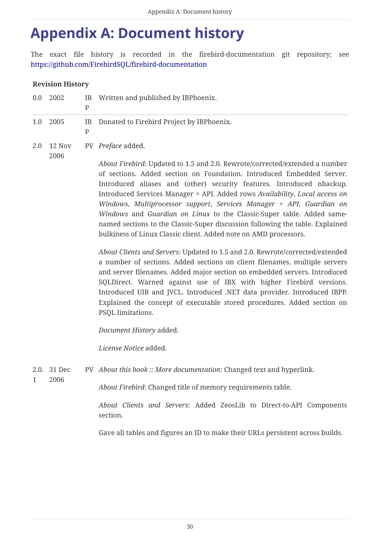# <span id="page-30-0"></span>**Appendix A: Document history**

The exact file history is recorded in the firebird-documentation git repository; see <https://github.com/FirebirdSQL/firebird-documentation>

## **Revision History**

| 0.0          | 2002                | IB<br>$\mathbf{P}$ | Written and published by IBPhoenix.                                                                                                                                                                                                                                                                                                                                                                                                                                                                                                                                                                                |
|--------------|---------------------|--------------------|--------------------------------------------------------------------------------------------------------------------------------------------------------------------------------------------------------------------------------------------------------------------------------------------------------------------------------------------------------------------------------------------------------------------------------------------------------------------------------------------------------------------------------------------------------------------------------------------------------------------|
| 1.0          | 2005                | IB<br>$\mathbf{P}$ | Donated to Firebird Project by IBPhoenix.                                                                                                                                                                                                                                                                                                                                                                                                                                                                                                                                                                          |
| 2.0          | 12 Nov<br>2006      |                    | PV Preface added.                                                                                                                                                                                                                                                                                                                                                                                                                                                                                                                                                                                                  |
|              |                     |                    | About Firebird: Updated to 1.5 and 2.0. Rewrote/corrected/extended a number<br>of sections. Added section on Foundation. Introduced Embedded Server.<br>Introduced aliases and (other) security features. Introduced nbackup.<br>Introduced Services Manager + API. Added rows Availability, Local access on<br>Windows, Multiprocessor support, Services Manager + API, Guardian on<br>Windows and Guardian on Linux to the Classic-Super table. Added same-<br>named sections to the Classic-Super discussion following the table. Explained<br>bulkiness of Linux Classic client. Added note on AMD processors. |
|              |                     |                    | About Clients and Servers: Updated to 1.5 and 2.0. Rewrote/corrected/extended<br>a number of sections. Added sections on client filenames, multiple servers<br>and server filenames. Added major section on embedded servers. Introduced<br>SQLDirect. Warned against use of IBX with higher Firebird versions.<br>Introduced UIB and JVCL. Introduced .NET data provider. Introduced IBPP.<br>Explained the concept of executable stored procedures. Added section on<br>PSQL limitations.                                                                                                                        |
|              |                     |                    | Document History added.                                                                                                                                                                                                                                                                                                                                                                                                                                                                                                                                                                                            |
|              |                     |                    | License Notice added.                                                                                                                                                                                                                                                                                                                                                                                                                                                                                                                                                                                              |
| $\mathbf{1}$ | 2.0. 31 Dec<br>2006 |                    | PV About this book :: More documentation: Changed text and hyperlink.                                                                                                                                                                                                                                                                                                                                                                                                                                                                                                                                              |
|              |                     |                    | About Firebird: Changed title of memory requirements table.                                                                                                                                                                                                                                                                                                                                                                                                                                                                                                                                                        |
|              |                     |                    | About Clients and Servers: Added ZeosLib to Direct-to-API Components<br>section.                                                                                                                                                                                                                                                                                                                                                                                                                                                                                                                                   |
|              |                     |                    | Gave all tables and figures an ID to make their URLs persistent across builds.                                                                                                                                                                                                                                                                                                                                                                                                                                                                                                                                     |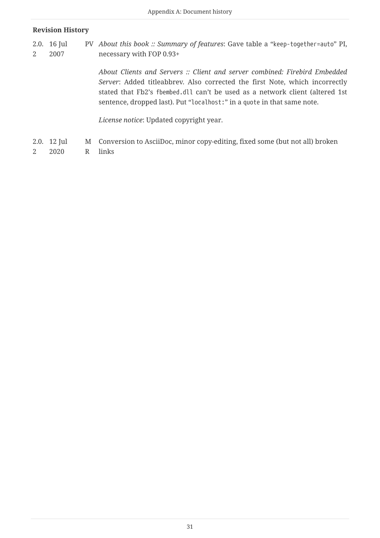### **Revision History**

2.0. 16 Jul 2 2007 PV *About this book :: Summary of features*: Gave table a "keep-together=auto" PI, necessary with FOP 0.93+

> *About Clients and Servers :: Client and server combined: Firebird Embedded Server*: Added titleabbrev. Also corrected the first Note, which incorrectly stated that Fb2's fbembed.dll can't be used as a network client (altered 1st sentence, dropped last). Put "localhost:" in a quote in that same note.

*License notice*: Updated copyright year.

- 2.0. 12 Jul M Conversion to AsciiDoc, minor copy-editing, fixed some (but not all) broken
- 2 2020 R links